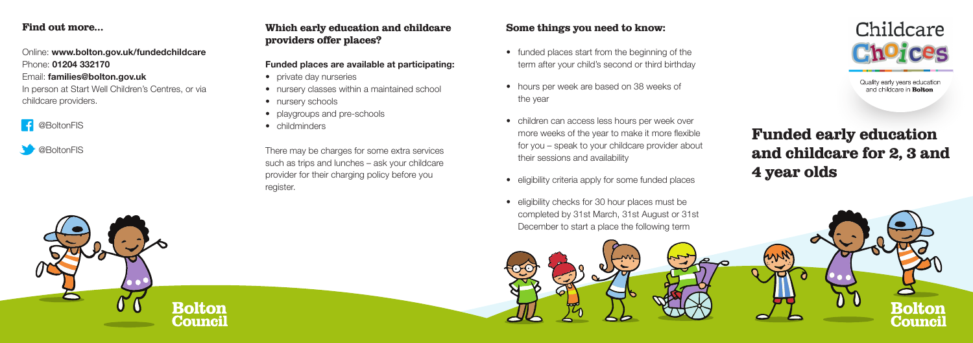# Funded early education and childcare for 2, 3 and 4 year olds

#### Find out more…

Online: **www.bolton.gov.uk/fundedchildcare**  Phone: **01204 332170** Email: **families@bolton.gov.uk**  In person at Start Well Children's Centres, or via childcare providers.

## **f** @BoltonFIS

**S** @BoltonFIS

## Which early education and childcare providers offer places?

#### **Funded places are available at participating:**

- private day nurseries
- nursery classes within a maintained school
- nursery schools
- playgroups and pre-schools
- childminders

There may be charges for some extra services such as trips and lunches – ask your childcare provider for their charging policy before you register.

### Some things you need to know;

- funded places start from the beginning of the term after your child's second or third birthday
- hours per week are based on 38 weeks of the year
- children can access less hours per week over more weeks of the year to make it more flexible for you – speak to your childcare provider about their sessions and availability
- eligibility criteria apply for some funded places
- eligibility checks for 30 hour places must be completed by 31st March, 31st August or 31st December to start a place the following term







Quality early years education and childcare in **Bolton**